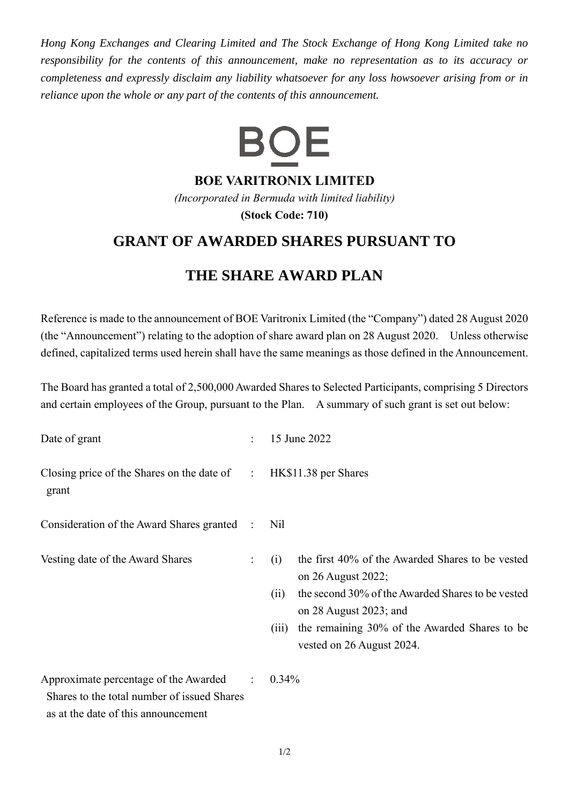*Hong Kong Exchanges and Clearing Limited and The Stock Exchange of Hong Kong Limited take no responsibility for the contents of this announcement, make no representation as to its accuracy or completeness and expressly disclaim any liability whatsoever for any loss howsoever arising from or in reliance upon the whole or any part of the contents of this announcement.*



**BOE VARITRONIX LIMITED**

*(Incorporated in Bermuda with limited liability)* **(Stock Code: 710)**

## **GRANT OF AWARDED SHARES PURSUANT TO**

## **THE SHARE AWARD PLAN**

Reference is made to the announcement of BOE Varitronix Limited (the "Company") dated 28 August 2020 (the "Announcement") relating to the adoption of share award plan on 28 August 2020. Unless otherwise defined, capitalized terms used herein shall have the same meanings as those defined in the Announcement.

The Board has granted a total of 2,500,000 Awarded Shares to Selected Participants, comprising 5 Directors and certain employees of the Group, pursuant to the Plan. A summary of such grant is set out below:

| Date of grant                                                                                                               | $\ddot{\cdot}$ | 15 June 2022                                                                                                                                                                                                                                                |
|-----------------------------------------------------------------------------------------------------------------------------|----------------|-------------------------------------------------------------------------------------------------------------------------------------------------------------------------------------------------------------------------------------------------------------|
| Closing price of the Shares on the date of $\qquad$ :<br>grant                                                              |                | HK\$11.38 per Shares                                                                                                                                                                                                                                        |
| Consideration of the Award Shares granted :                                                                                 |                | Nil                                                                                                                                                                                                                                                         |
| Vesting date of the Award Shares                                                                                            | $\ddot{\cdot}$ | the first 40% of the Awarded Shares to be vested<br>(i)<br>on 26 August 2022;<br>the second 30% of the Awarded Shares to be vested<br>(ii)<br>on 28 August 2023; and<br>the remaining 30% of the Awarded Shares to be<br>(iii)<br>vested on 26 August 2024. |
| Approximate percentage of the Awarded<br>Shares to the total number of issued Shares<br>as at the date of this announcement | $\mathcal{L}$  | $0.34\%$                                                                                                                                                                                                                                                    |